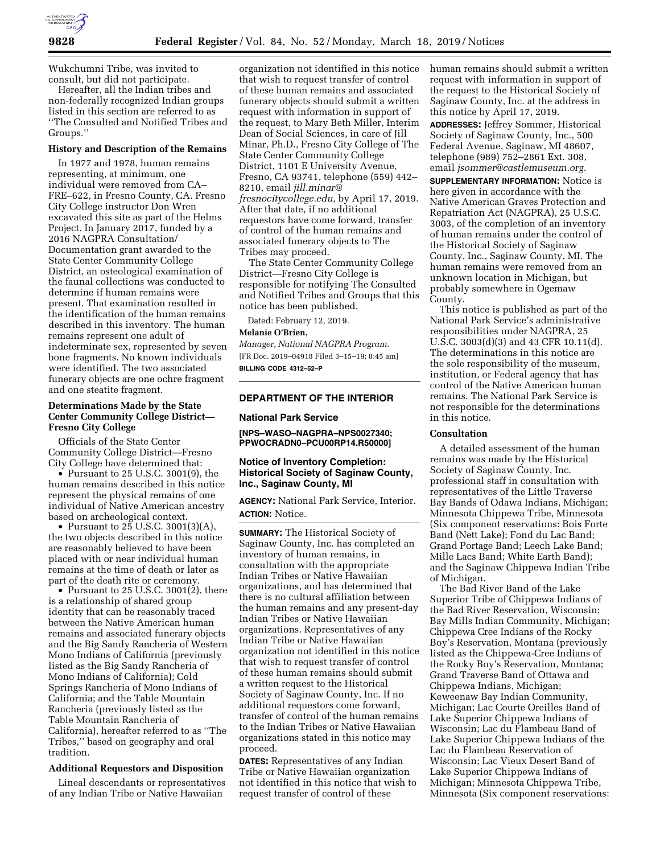

Wukchumni Tribe, was invited to consult, but did not participate.

Hereafter, all the Indian tribes and non-federally recognized Indian groups listed in this section are referred to as ''The Consulted and Notified Tribes and Groups.''

# **History and Description of the Remains**

In 1977 and 1978, human remains representing, at minimum, one individual were removed from CA– FRE–622, in Fresno County, CA. Fresno City College instructor Don Wren excavated this site as part of the Helms Project. In January 2017, funded by a 2016 NAGPRA Consultation/ Documentation grant awarded to the State Center Community College District, an osteological examination of the faunal collections was conducted to determine if human remains were present. That examination resulted in the identification of the human remains described in this inventory. The human remains represent one adult of indeterminate sex, represented by seven bone fragments. No known individuals were identified. The two associated funerary objects are one ochre fragment and one steatite fragment.

## **Determinations Made by the State Center Community College District— Fresno City College**

Officials of the State Center Community College District—Fresno City College have determined that:

 $\bullet$  Pursuant to 25 U.S.C. 3001(9), the human remains described in this notice represent the physical remains of one individual of Native American ancestry based on archeological context.

• Pursuant to  $25$  U.S.C. 3001(3)(A), the two objects described in this notice are reasonably believed to have been placed with or near individual human remains at the time of death or later as part of the death rite or ceremony.

• Pursuant to 25 U.S.C. 3001(2), there is a relationship of shared group identity that can be reasonably traced between the Native American human remains and associated funerary objects and the Big Sandy Rancheria of Western Mono Indians of California (previously listed as the Big Sandy Rancheria of Mono Indians of California); Cold Springs Rancheria of Mono Indians of California; and the Table Mountain Rancheria (previously listed as the Table Mountain Rancheria of California), hereafter referred to as ''The Tribes,'' based on geography and oral tradition.

### **Additional Requestors and Disposition**

Lineal descendants or representatives of any Indian Tribe or Native Hawaiian

organization not identified in this notice that wish to request transfer of control of these human remains and associated funerary objects should submit a written request with information in support of the request, to Mary Beth Miller, Interim Dean of Social Sciences, in care of Jill Minar, Ph.D., Fresno City College of The State Center Community College District, 1101 E University Avenue, Fresno, CA 93741, telephone (559) 442– 8210, email *jill.minar@ fresnocitycollege.edu,* by April 17, 2019. After that date, if no additional requestors have come forward, transfer of control of the human remains and associated funerary objects to The Tribes may proceed.

The State Center Community College District—Fresno City College is responsible for notifying The Consulted and Notified Tribes and Groups that this notice has been published.

Dated: February 12, 2019.

### **Melanie O'Brien,**

*Manager, National NAGPRA Program.*  [FR Doc. 2019–04918 Filed 3–15–19; 8:45 am] **BILLING CODE 4312–52–P** 

## **DEPARTMENT OF THE INTERIOR**

#### **National Park Service**

**[NPS–WASO–NAGPRA–NPS0027340; PPWOCRADN0–PCU00RP14.R50000]** 

## **Notice of Inventory Completion: Historical Society of Saginaw County, Inc., Saginaw County, MI**

**AGENCY:** National Park Service, Interior. **ACTION:** Notice.

**SUMMARY:** The Historical Society of Saginaw County, Inc. has completed an inventory of human remains, in consultation with the appropriate Indian Tribes or Native Hawaiian organizations, and has determined that there is no cultural affiliation between the human remains and any present-day Indian Tribes or Native Hawaiian organizations. Representatives of any Indian Tribe or Native Hawaiian organization not identified in this notice that wish to request transfer of control of these human remains should submit a written request to the Historical Society of Saginaw County, Inc. If no additional requestors come forward, transfer of control of the human remains to the Indian Tribes or Native Hawaiian organizations stated in this notice may proceed.

**DATES:** Representatives of any Indian Tribe or Native Hawaiian organization not identified in this notice that wish to request transfer of control of these

human remains should submit a written request with information in support of the request to the Historical Society of Saginaw County, Inc. at the address in this notice by April 17, 2019.

**ADDRESSES:** Jeffrey Sommer, Historical Society of Saginaw County, Inc., 500 Federal Avenue, Saginaw, MI 48607, telephone (989) 752–2861 Ext. 308, email *jsommer@castlemuseum.org.* 

**SUPPLEMENTARY INFORMATION:** Notice is here given in accordance with the Native American Graves Protection and Repatriation Act (NAGPRA), 25 U.S.C. 3003, of the completion of an inventory of human remains under the control of the Historical Society of Saginaw County, Inc., Saginaw County, MI. The human remains were removed from an unknown location in Michigan, but probably somewhere in Ogemaw County.

This notice is published as part of the National Park Service's administrative responsibilities under NAGPRA, 25 U.S.C. 3003(d)(3) and 43 CFR 10.11(d). The determinations in this notice are the sole responsibility of the museum, institution, or Federal agency that has control of the Native American human remains. The National Park Service is not responsible for the determinations in this notice.

#### **Consultation**

A detailed assessment of the human remains was made by the Historical Society of Saginaw County, Inc. professional staff in consultation with representatives of the Little Traverse Bay Bands of Odawa Indians, Michigan; Minnesota Chippewa Tribe, Minnesota (Six component reservations: Bois Forte Band (Nett Lake); Fond du Lac Band; Grand Portage Band; Leech Lake Band; Mille Lacs Band; White Earth Band); and the Saginaw Chippewa Indian Tribe of Michigan.

The Bad River Band of the Lake Superior Tribe of Chippewa Indians of the Bad River Reservation, Wisconsin; Bay Mills Indian Community, Michigan; Chippewa Cree Indians of the Rocky Boy's Reservation, Montana (previously listed as the Chippewa-Cree Indians of the Rocky Boy's Reservation, Montana; Grand Traverse Band of Ottawa and Chippewa Indians, Michigan; Keweenaw Bay Indian Community, Michigan; Lac Courte Oreilles Band of Lake Superior Chippewa Indians of Wisconsin; Lac du Flambeau Band of Lake Superior Chippewa Indians of the Lac du Flambeau Reservation of Wisconsin; Lac Vieux Desert Band of Lake Superior Chippewa Indians of Michigan; Minnesota Chippewa Tribe, Minnesota (Six component reservations: